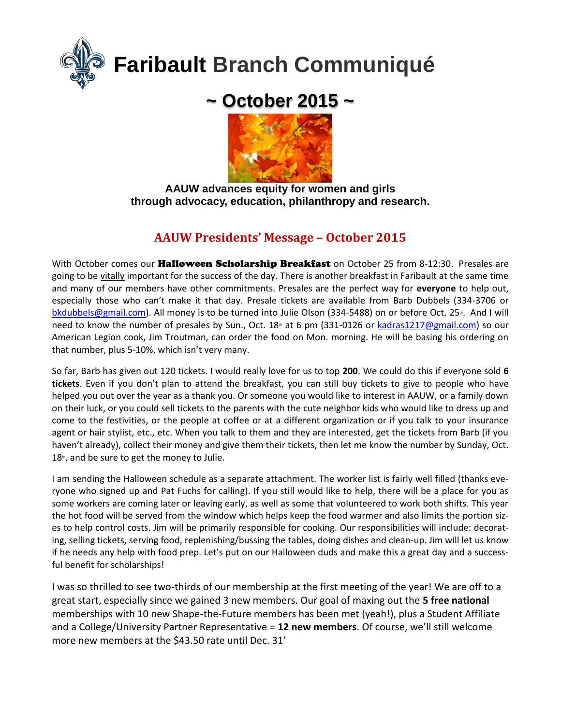

# **~ October 2015 ~**



**AAUW advances equity for women and girls through advocacy, education, philanthropy and research.**

# **AAUW Presidents' Message – October 2015**

With October comes our Halloween Scholarship Breakfast on October 25 from 8-12:30. Presales are going to be vitally important for the success of the day. There is another breakfast in Faribault at the same time and many of our members have other commitments. Presales are the perfect way for **everyone** to help out, especially those who can't make it that day. Presale tickets are available from Barb Dubbels (334-3706 or [bkdubbels@gmail.com\)](about:blank). All money is to be turned into Julie Olson (334-5488) on or before Oct. 25<sup>th</sup>. And I will need to know the number of presales by Sun., Oct. 18<sup>th</sup> at 6 pm (331-0126 or [kadras1217@gmail.com\)](about:blank) so our American Legion cook, Jim Troutman, can order the food on Mon. morning. He will be basing his ordering on that number, plus 5-10%, which isn't very many.

So far, Barb has given out 120 tickets. I would really love for us to top **200**. We could do this if everyone sold **6 tickets**. Even if you don't plan to attend the breakfast, you can still buy tickets to give to people who have helped you out over the year as a thank you. Or someone you would like to interest in AAUW, or a family down on their luck, or you could sell tickets to the parents with the cute neighbor kids who would like to dress up and come to the festivities, or the people at coffee or at a different organization or if you talk to your insurance agent or hair stylist, etc., etc. When you talk to them and they are interested, get the tickets from Barb (if you haven't already), collect their money and give them their tickets, then let me know the number by Sunday, Oct.  $18<sup>th</sup>$ , and be sure to get the money to Julie.

I am sending the Halloween schedule as a separate attachment. The worker list is fairly well filled (thanks everyone who signed up and Pat Fuchs for calling). If you still would like to help, there will be a place for you as some workers are coming later or leaving early, as well as some that volunteered to work both shifts. This year the hot food will be served from the window which helps keep the food warmer and also limits the portion sizes to help control costs. Jim will be primarily responsible for cooking. Our responsibilities will include: decorating, selling tickets, serving food, replenishing/bussing the tables, doing dishes and clean-up. Jim will let us know if he needs any help with food prep. Let's put on our Halloween duds and make this a great day and a successful benefit for scholarships!

I was so thrilled to see two-thirds of our membership at the first meeting of the year! We are off to a great start, especially since we gained 3 new members. Our goal of maxing out the **5 free national** memberships with 10 new Shape-the-Future members has been met (yeah!), plus a Student Affiliate and a College/University Partner Representative = **12 new members**. Of course, we'll still welcome more new members at the \$43.50 rate until Dec. 31'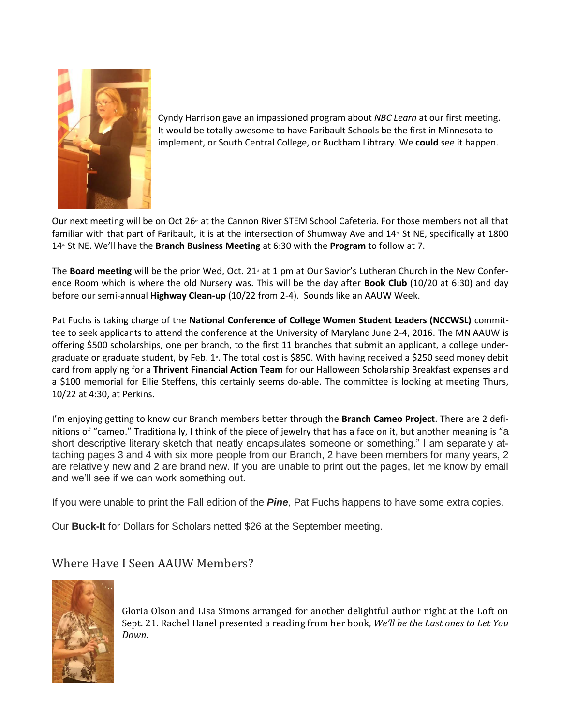

Cyndy Harrison gave an impassioned program about *NBC Learn* at our first meeting. It would be totally awesome to have Faribault Schools be the first in Minnesota to implement, or South Central College, or Buckham Libtrary. We **could** see it happen.

Our next meeting will be on Oct 26<sup>th</sup> at the Cannon River STEM School Cafeteria. For those members not all that familiar with that part of Faribault, it is at the intersection of Shumway Ave and 14<sup>th</sup> St NE, specifically at 1800 14<sup>th</sup> St NE. We'll have the **Branch Business Meeting** at 6:30 with the **Program** to follow at 7.

The **Board meeting** will be the prior Wed, Oct. 21<sup>st</sup> at 1 pm at Our Savior's Lutheran Church in the New Conference Room which is where the old Nursery was. This will be the day after **Book Club** (10/20 at 6:30) and day before our semi-annual **Highway Clean-up** (10/22 from 2-4). Sounds like an AAUW Week.

Pat Fuchs is taking charge of the **National Conference of College Women Student Leaders (NCCWSL)** committee to seek applicants to attend the conference at the University of Maryland June 2-4, 2016. The MN AAUW is offering \$500 scholarships, one per branch, to the first 11 branches that submit an applicant, a college undergraduate or graduate student, by Feb. 1<sup>s</sup>. The total cost is \$850. With having received a \$250 seed money debit card from applying for a **Thrivent Financial Action Team** for our Halloween Scholarship Breakfast expenses and a \$100 memorial for Ellie Steffens, this certainly seems do-able. The committee is looking at meeting Thurs, 10/22 at 4:30, at Perkins.

I'm enjoying getting to know our Branch members better through the **Branch Cameo Project**. There are 2 definitions of "cameo." Traditionally, I think of the piece of jewelry that has a face on it, but another meaning is "a short descriptive literary sketch that neatly encapsulates someone or something." I am separately attaching pages 3 and 4 with six more people from our Branch, 2 have been members for many years, 2 are relatively new and 2 are brand new. If you are unable to print out the pages, let me know by email and we'll see if we can work something out.

If you were unable to print the Fall edition of the *Pine,* Pat Fuchs happens to have some extra copies.

Our **Buck-It** for Dollars for Scholars netted \$26 at the September meeting.

### Where Have I Seen AAUW Members?



Gloria Olson and Lisa Simons arranged for another delightful author night at the Loft on Sept. 21. Rachel Hanel presented a reading from her book, *We'll be the Last ones to Let You Down.*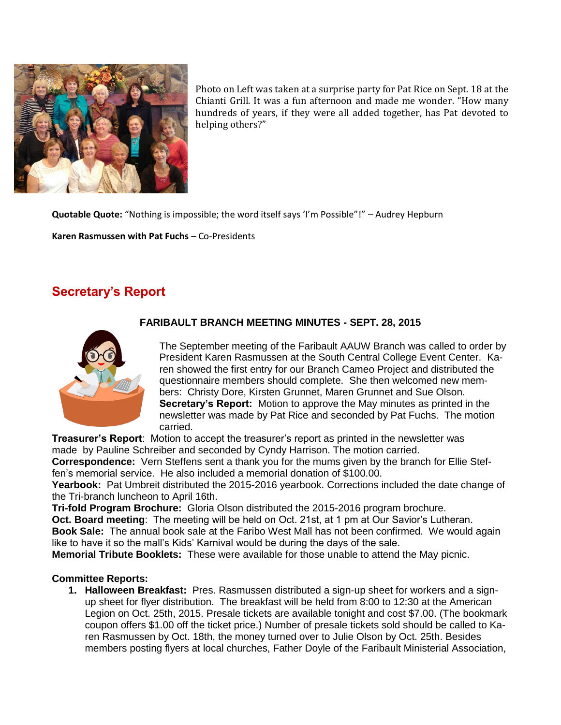

Photo on Left was taken at a surprise party for Pat Rice on Sept. 18 at the Chianti Grill. It was a fun afternoon and made me wonder. "How many o mand a min to make a ran arcentious and make the women. Their many hundreds of years, if they were all added together, has Pat devoted to helping others?" L e<br>F

**Quotable Quote:** "Nothing is impossible; the word itself says 'I'm Possible"!" – Audrey Hepburn e

**Karen Rasmussen with Pat Fuchs –** Co-Presidents

# **Secretary's Report**



### **FARIBAULT BRANCH MEETING MINUTES - SEPT. 28, 2015** s

The September meeting of the Faribault AAUW Branch was called to order by President Karen Rasmussen at the South Central College Event Center. Ka-a ren showed the first entry for our Branch Cameo Project and distributed the questionnaire members should complete. She then welcomed new members: Christy Dore, Kirsten Grunnet, Maren Grunnet and Sue Olson. Secretary's Report: Motion to approve the May minutes as printed in the newsletter was made by Pat Rice and seconded by Pat Fuchs. The motion P carried.

**Treasurer's Report**: Motion to accept the treasurer's report as printed in the newsletter was R made by Pauline Schreiber and seconded by Cyndy Harrison. The motion carried.

**Correspondence:** Vern Steffens sent a thank you for the mums given by the branch for Ellie Stef-e fen's memorial service. He also included a memorial donation of \$100.00.

Yearbook: Pat Umbreit distributed the 2015-2016 yearbook. Corrections included the date change of the Tri-branch luncheon to April 16th. S

**Tri-fold Program Brochure:** Gloria Olson distributed the 2015-2016 program brochure.

**Oct. Board meeting**: The meeting will be held on Oct. 21st, at 1 pm at Our Savior's Lutheran. **Book Sale:** The annual book sale at the Faribo West Mall has not been confirmed. We would again t. like to have it so the mall's Kids' Karnival would be during the days of the sale. 1

**Memorial Tribute Booklets:** These were available for those unable to attend the May picnic. 8

#### **Committee Reports:**

**1. Halloween Breakfast:** Pres. Rasmussen distributed a sign-up sheet for workers and a signup sheet for flyer distribution. The breakfast will be held from 8:00 to 12:30 at the American e Legion on Oct. 25th, 2015. Presale tickets are available tonight and cost \$7.00. (The bookmark coupon offers \$1.00 off the ticket price.) Number of presale tickets sold should be called to Ka-hi ren Rasmussen by Oct. 18th, the money turned over to Julie Olson by Oct. 25th. Besides members posting flyers at local churches, Father Doyle of the Faribault Ministerial Association, n e: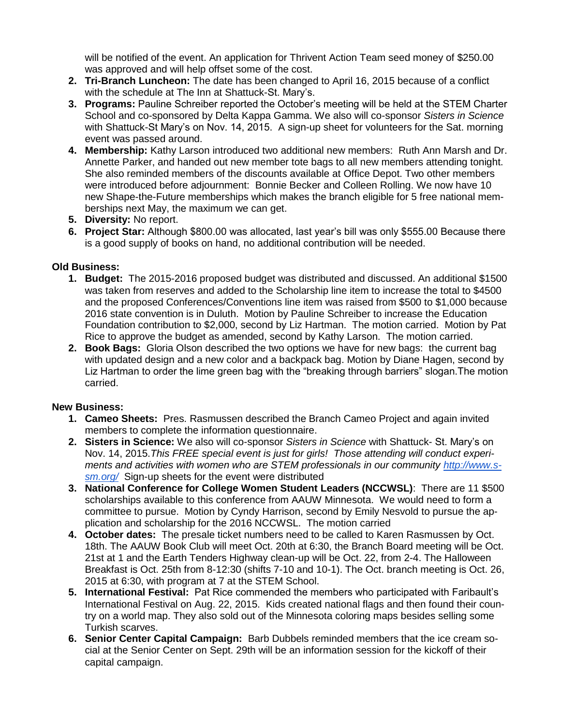will be notified of the event. An application for Thrivent Action Team seed money of \$250.00 was approved and will help offset some of the cost.

- **2. Tri-Branch Luncheon:** The date has been changed to April 16, 2015 because of a conflict with the schedule at The Inn at Shattuck-St. Mary's.
- **3. Programs:** Pauline Schreiber reported the October's meeting will be held at the STEM Charter School and co-sponsored by Delta Kappa Gamma. We also will co-sponsor *Sisters in Science* with Shattuck-St Mary's on Nov. 14, 2015. A sign-up sheet for volunteers for the Sat. morning event was passed around.
- **4. Membership:** Kathy Larson introduced two additional new members: Ruth Ann Marsh and Dr. Annette Parker, and handed out new member tote bags to all new members attending tonight. She also reminded members of the discounts available at Office Depot. Two other members were introduced before adjournment: Bonnie Becker and Colleen Rolling. We now have 10 new Shape-the-Future memberships which makes the branch eligible for 5 free national memberships next May, the maximum we can get.
- **5. Diversity:** No report.
- **6. Project Star:** Although \$800.00 was allocated, last year's bill was only \$555.00 Because there is a good supply of books on hand, no additional contribution will be needed.

### **Old Business:**

- **1. Budget:** The 2015-2016 proposed budget was distributed and discussed. An additional \$1500 was taken from reserves and added to the Scholarship line item to increase the total to \$4500 and the proposed Conferences/Conventions line item was raised from \$500 to \$1,000 because 2016 state convention is in Duluth. Motion by Pauline Schreiber to increase the Education Foundation contribution to \$2,000, second by Liz Hartman. The motion carried. Motion by Pat Rice to approve the budget as amended, second by Kathy Larson. The motion carried.
- **2. Book Bags:** Gloria Olson described the two options we have for new bags: the current bag with updated design and a new color and a backpack bag. Motion by Diane Hagen, second by Liz Hartman to order the lime green bag with the "breaking through barriers" slogan.The motion carried.

#### **New Business:**

- **1. Cameo Sheets:** Pres. Rasmussen described the Branch Cameo Project and again invited members to complete the information questionnaire.
- **2. Sisters in Science:** We also will co-sponsor *Sisters in Science* with Shattuck- St. Mary's on Nov. 14, 2015.*This FREE special event is just for girls! Those attending will conduct experiments and activities with women who are STEM professionals in our community [http://www.s](http://www.s-sm.org/)[sm.org/](http://www.s-sm.org/)* Sign-up sheets for the event were distributed
- **3. National Conference for College Women Student Leaders (NCCWSL)**: There are 11 \$500 scholarships available to this conference from AAUW Minnesota. We would need to form a committee to pursue. Motion by Cyndy Harrison, second by Emily Nesvold to pursue the application and scholarship for the 2016 NCCWSL. The motion carried
- **4. October dates:** The presale ticket numbers need to be called to Karen Rasmussen by Oct. 18th. The AAUW Book Club will meet Oct. 20th at 6:30, the Branch Board meeting will be Oct. 21st at 1 and the Earth Tenders Highway clean-up will be Oct. 22, from 2-4. The Halloween Breakfast is Oct. 25th from 8-12:30 (shifts 7-10 and 10-1). The Oct. branch meeting is Oct. 26, 2015 at 6:30, with program at 7 at the STEM School.
- **5. International Festival:** Pat Rice commended the members who participated with Faribault's International Festival on Aug. 22, 2015. Kids created national flags and then found their country on a world map. They also sold out of the Minnesota coloring maps besides selling some Turkish scarves.
- **6. Senior Center Capital Campaign:** Barb Dubbels reminded members that the ice cream social at the Senior Center on Sept. 29th will be an information session for the kickoff of their capital campaign.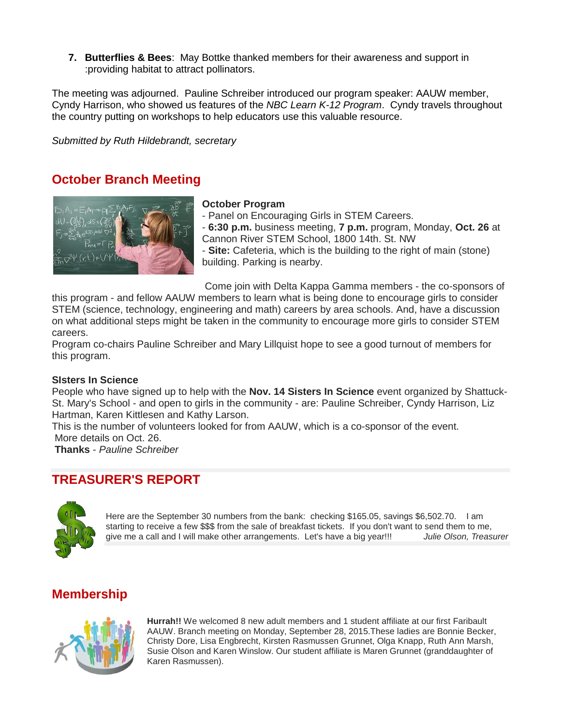**7. Butterflies & Bees**: May Bottke thanked members for their awareness and support in :providing habitat to attract pollinators.

The meeting was adjourned. Pauline Schreiber introduced our program speaker: AAUW member, Cyndy Harrison, who showed us features of the *NBC Learn K-12 Program*. Cyndy travels throughout the country putting on workshops to help educators use this valuable resource.

*Submitted by Ruth Hildebrandt, secretary*

### **October Branch Meeting**



#### **October Program**

- Panel on Encouraging Girls in STEM Careers.
- **6:30 p.m.** business meeting, **7 p.m.** program, Monday, **Oct. 26** at Cannon River STEM School, 1800 14th. St. NW

- **Site:** Cafeteria, which is the building to the right of main (stone) building. Parking is nearby.

Come join with Delta Kappa Gamma members - the co-sponsors of this program - and fellow AAUW members to learn what is being done to encourage girls to consider STEM (science, technology, engineering and math) careers by area schools. And, have a discussion on what additional steps might be taken in the community to encourage more girls to consider STEM careers.

Program co-chairs Pauline Schreiber and Mary Lillquist hope to see a good turnout of members for this program.

#### **SIsters In Science**

People who have signed up to help with the **Nov. 14 Sisters In Science** event organized by Shattuck-St. Mary's School - and open to girls in the community - are: Pauline Schreiber, Cyndy Harrison, Liz Hartman, Karen Kittlesen and Kathy Larson.

This is the number of volunteers looked for from AAUW, which is a co-sponsor of the event. More details on Oct. 26.

**Thanks** - *Pauline Schreiber*

### **TREASURER'S REPORT**



Here are the September 30 numbers from the bank: checking \$165.05, savings \$6,502.70. I am starting to receive a few \$\$\$ from the sale of breakfast tickets. If you don't want to send them to me, give me a call and I will make other arrangements. Let's have a big year!!! *Julie Olson, Treasurer*

### **Membership**



**Hurrah!!** We welcomed 8 new adult members and 1 student affiliate at our first Faribault AAUW. Branch meeting on Monday, September 28, 2015.These ladies are Bonnie Becker, Christy Dore, Lisa Engbrecht, Kirsten Rasmussen Grunnet, Olga Knapp, Ruth Ann Marsh, Susie Olson and Karen Winslow. Our student affiliate is Maren Grunnet (granddaughter of Karen Rasmussen).